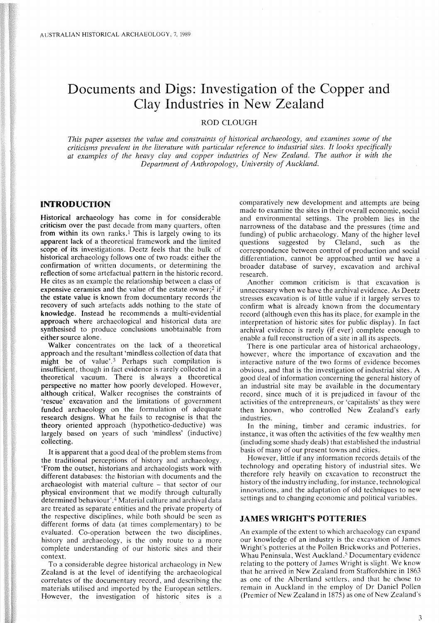# Documents and Digs: Investigation of the Copper and Clay Industries in New Zealand

## ROD CLOUGH

*This paper assesses the value and constraints of historical archaeology, and examines some of the criticisms prevalent in the literature with particular reference to industrial sites. It looks specifically at examples of the heavy clay and copper industries of New Zealand. The author is with the Department of Anthropology, University of Auckland.*

## INTRODUCTION

Historical archaeology has come in for considerable criticism over the past decade from many quarters, often from within its own ranks.<sup>1</sup> This is largely owing to its apparent lack of a theoretical framework and the limited scope of its investigations. Deetz feels that the bulk of historical archaeology follows one of two roads: either the confirmation of written documents, or determining the reflection of some artefactual pattern in the historic record. He cites as an example the relationship between a class of expensive ceramics and the value of the estate owner;<sup>2</sup> if the estate value is known from documentary records the recovery of such artefacts adds nothing to the state of knowledge. Instead he recommends a multi-evidential approach where archaeological and historical data are synthesised to produce conclusions unobtainable from either source alone.

Walker concentrates on the lack of a theoretical approach and the resultant 'mindless collection of data that might be of value',<sup>3</sup> Perhaps such compilation is insufficient, though in fact evidence is rarely collected in a theoretical vacuum. There is always a theoretical perspective no matter how poorly developed. However, although critical, Walker recognises the constraints of 'rescue' excavation and the limitations of government funded archaeology on the formulation of adequate research designs. What he fails to recognise is that the theory oriented approach (hypothetico-deductive) was largely based on years of such 'mindless' (inductive) collecting.

It is apparent that a good deal of the problem stems from the traditional perceptions of history and archaeology. 'From the outset, historians and archaeologists work with different databases: the historian with documents and the archaeologist with material culture - that sector of our physical environment that we modify through culturally determined behaviour'.4 Material culture and archival data are treated as separate entities and the private property of the respective disciplines, while both should be seen as different forms of data (at times complementary) to be evaluated. Co-operation between the two disciplines, history and archaeology, is the only route to a more complete understanding of our historic sites and their context.

To a considerable degree historical archaeology in New Zealand is at the level of identifying the archaeological correlates of the documentary record, and describing the materials utilised and imported by the European settlers. However, the investigation of historic sites is a comparatively new development and attempts are being made to examine the sites in their overall economic, social and environmental settings. The problem lies in the narrowness of the database and the pressures (time and funding) of public archaeology. Many of the higher level questions suggested by Cleland, such as correspondence between control of production and social differentiation, cannot be approached until we have a broader database of survey, excavation and archival research.

Another common criticism is that excavation is unnecessary when we have the archival evidence. As Deetz stresses excavation is of little value if it largely serves to confirm what is already known from the documentary record (although even this has its place, for example in the interpretation of historic sites for public display). In fact archival evidence is rarely (if ever) complete enough to enable a full reconstruction of a site in all its aspects.

There is one particular area of historical archaeology, however, where the importance of excavation and the interactive nature of the two forms of evidence becomes obvious, and that is the investigation of industrial sites. A good deal of information concerning the general history of an industrial site may be available in the documentary record, since much of it is prejudiced in favour of the activities of the entrepreneurs, or 'capitalists' as they were then known, who controlled New Zealand's early industries.

In the mining, timber and ceramic industries, for instance, it was often the activities of the few wealthy men (including some shady deals) that established the industrial basis of many of our present towns and cities.

However, little if any information records details of the technology and operating history of industrial sites. We therefore rely heavily on excavation to reconstruct the history of the industry including, for instance, technological innovations, and the adaptation of old techniques to new settings and to changing economic and political variables.

## JAMES WRIGHT'S POTTERIES

An example of the extent to which archaeology can expand our knowledge of an industry is the excavation of James Wright's potteries at the Pollen Brickworks and Potteries, Whau Peninsula, West Auckland.<sup>5</sup> Documentary evidence relating to the pottery of James Wright is slight. We know that he arrived in New Zealand from Staffordshire in 1863 as one of the Albertland settlers, and that he chose to remain in Auckland in the employ of Dr Daniel Pollen (Premier of New Zealand in 1875) as one of New Zealand's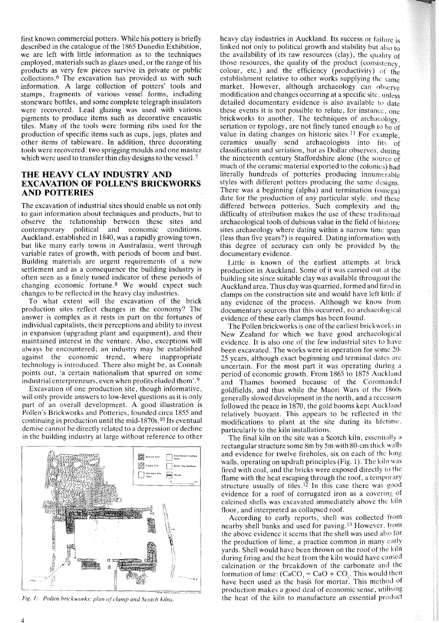first known commercial potters. While his pottery is briefly described in the catalogue of the 1865 Dunedin Exhibition, we are left with little information as to the techniques employed, materials such as glazes used, or the range of his products as very few pieces survive in private or public collections.<sup>6</sup> The excavation has provided us with such information. A large collection of potters' tools and stamps, fragments of various vessel forms, including stoneware bottles, and some complete telegraph insulators were recovered. Lead glazing was used with various pigments to produce items such as decorative encaustic tiles. Many of the tools were forming ribs used for the production of specific items such as cups, jugs, plates and other items of tableware. In addition, three decorating tools were recovered: two sprigging moulds and one master which were used to transfer thin clay designs to the vessel.<sup>7</sup>

# THE HEAVY CLAY INDUSTRY AND EXCAVATION OF POLLEN'S BRICKWORKS AND POTTERIES

The excavation of industrial sites should enable us not only to gain information about techniques and products, but to observe the relationship between these sites and contemporary political and economic conditions. Auckland, established in 1840, was a rapidly growing town, but like many early towns in Australasia, went through variable rates of growth, with periods of boom and bust. Building materials are urgent requirements of a new settlement and as a consequence the building industry is often seen as a finely tuned indicator of these periods of changing economic fortune.<sup>8</sup> We would expect such changes to be reflected in the heavy clay industries.

To what extent will the excavation of the brick production sites reflect changes in the economy? The answer is complex as it rests in part on the fortunes of individual capitalists, their perceptions and ability to invest in expansion (upgrading plant and equipment), and their maintained interest in the venture. Also, exceptions will always be encountered; an industry may be established against the economic trend, where inappropriate technology is introduced. There also might be, as Connah points out, 'a certain nationalism that spurred on some industrial enterpreneurs, even when profits eluded them'. <sup>9</sup>

Excavation of one production site, though informative, will only provide answers to low-level questions as it is only part of an overall development. A good illustration is Pollen's Brickworks and Potteries, founded circa 1855 and continuing in production until the mid-1870s.<sup>10</sup> Its eventual demise cannot be directly related to a depression or decline in the building industry at large without reference to other



*FiE;' I: Po/len hrickworks. plan of c!wnp and Scotch kilns.*

heavy clay industries in Auckland. Its success or failure is linked not only to political growth and stability but also to the availability of its raw resources (clay), the quality of those resources, the quality of the product (consistency, colour, etc.) and the efficiency (productivity) of the establishment relative to other works supplying the same market. However, although archaeology can observe modification and changes occurring at a specific site, unless detailed documentary evidence is also available to date these events it is not possible to relate, for instance, one brickworks to another. The techniques of archaeology, seriation or typology, are not finely tuned enough to be of value in dating changes on historic sites.<sup>11</sup> For example, ceramics usually send archaeologists into fits of classification and seriation, but as Dollar observes, during the nineteenth century Staffordshire alone (the source of much of the ceramic material exported to the colonies) had literally hundreds of potteries producing innumerable styles with different potters producing the same designs. There was a beginning (alpha) and termination (omega) date for the production of any particular style, and these differed between potteries. Such complexity and the difficulty of attribution makes the use of these traditional archaeological tools of dubious value in the field of historic sites archaeology where dating within a narrow time span (less than five years?) is required. Dating information with this degree of accuracy can only be provided by the documentary evidence.

Little is known of the earliest attempts at brick production in Auckland. Some of it was carried out at the building site since suitable clay was available througout the Auckland area. Thus clay was quarried, formed and fired in clamps on the construction site and would have left little if any evidence of the process. Although we know from documentary sources that this occurred, no archaeological evidence of these early clamps has been found.

The Pollen brickworks is one of the earliest brickworks in New Zealand for which we have good archaeological evidence. It is also one of the few industrial sites to have been excavated. The works were in operation for some 20- 25 years, although exact beginning and terminal dates arc uncertain. For the most part it was operating during a period of economic growth. From 1865 to 1875 Auckland and Thames boomed because of the Coromandel goldfields, and thus while the Maori Wars of the 1860s generally slowed development in the north, and a recession followed the peace in 1870, the gold booms kept Auckland relatively buoyant. This appears to be reflected in the modifications to plant at the site during its lifetime, particularly to the kiln installations.

The final kiln on the site was a Scotch kiln, essentially a rectangular structure some 8m by 5m with 80-cm thick walls and evidence for twelve fireholes, six on each of the long walls, operating on updraft principles (Fig. 1). The kiln was fired with coal, and the bricks were exposed directly to the flame with the heat escaping through the roof, a temporary structure usually of tiles.<sup>12</sup> In this case there was good evidence for a roof of corrugated iron as a covering of calcined shells was excavated immediately above the kiln floor, and interpreted as collapsed roof.

According to early reports, shell was collected from nearby shell banks and used for paving. <sup>13</sup> However, from the above evidence it seems that the shell was used also for the production of lime, a practice common in many early yards. Shell would have been thrown on the roof of the kiln during firing and the heat from the kiln would have caused calcination or the breakdown of the carbonate and the formation of lime:  $(CaCO<sub>3</sub> = CaO + CO<sub>3</sub>$ . This would then have been used as the basis for mortar. This method of production makes a good deal of economic sense, utilising the heat of the kiln to manufacture an essential product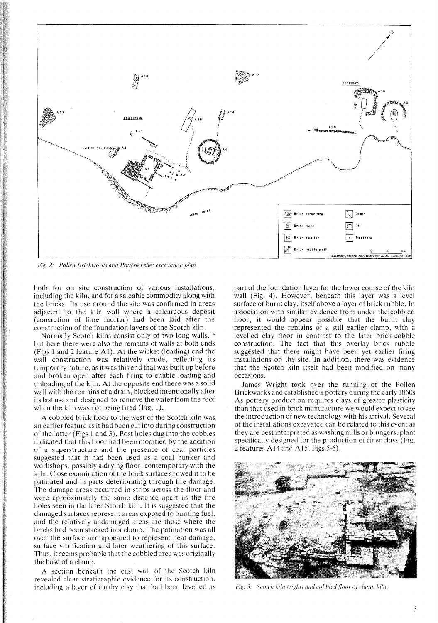

*Fig.* 2: *Pollen Brickworks and Potteries site: excavation plan.*

both for on site construction of various installations, including the kiln, and for a saleable commodity along with the bricks. Its use around the site was confirmed in areas adjacent to the kiln wall where a calcareous deposit (concretion of lime mortar) had been laid after the construction of the foundation layers of the Scotch kiln.

Normally Scotch kilns consist only of two long walls, <sup>14</sup> but here there were also the remains of walls at both ends (Figs I and 2 feature AI). At the wicket (loading) end the wall construction was relatively crude, reflecting its temporary nature, as it was this end that was built up before and broken open after each firing to enable loading and unloading of the kiln. At the opposite end there was a solid wall with the remains of a drain, blocked intentionally after its last use and designed to remove the water from the roof when the kiln was not being fired (Fig. I).

A cobbled brick floor to the west of the Scotch kiln was an earlier feature as it had been cut into during construction of the latter (Figs I and 3). Post holes dug into the cobbles indicated that this floor had been modified by the addition of a superstructure and the presence of coal particles suggested that it had been used as a coal bunker and workshops, possibly a drying floor, contemporary with the kiln. Close examination of the brick surface showed it to bc patinated and in parts deteriorating through fire damage. The damage areas occurred in strips across the floor and were approximately the same distance apart as the fire holes seen in the later Scotch kiln. It is suggested that the damaged surfaces represent areas exposed to burning fuel, and the relatively undamaged areas are those where the bricks had been stacked in a clamp. The patination was all over the surface and appeared to represent heat damage, surface vitrification and later weathering of this surface. Thus, it seems probable that the cobbled area was originally the base of a clamp.

A section beneath the east wall of the Scotch kiln revealed clear stratigraphic evidence for its construction, including a layer of earthy clay that had been levelled as part of the foundation layer for the lower course of the kiln wall (Fig. 4). However, beneath this layer was a level surface of burnt clay, itself above a layer of brick rubble. **In** association with similar evidence from under the cobbled floor, it would appear possible that the burnt clay represented the remains of a still earlier clamp, with a levelled clay floor in contrast to the later brick-cobble construction. The fact that this overlay brick rubble suggested that there might have been yet earlier firing installations on the site. **In** addition, there was evidence that the Scotch kiln itself had been modified on many occasions.

James Wright took over the running of the Pollen Brickworks and established a pottery during the early 1860s As pottery production requires clays of greater plasticity than that used in brick manufacture we would expect to see the introduction of new technology with his arrival. Several of the installations excavated can be related to this event as they are best interpreted as washing mills or blungers, plant specifically designed for the production of finer clays (Fig. 2 features AI4 and A15, Figs 5-6).



Fig. 3: Scotch kiln (right) and cobbled floor of clamp kiln.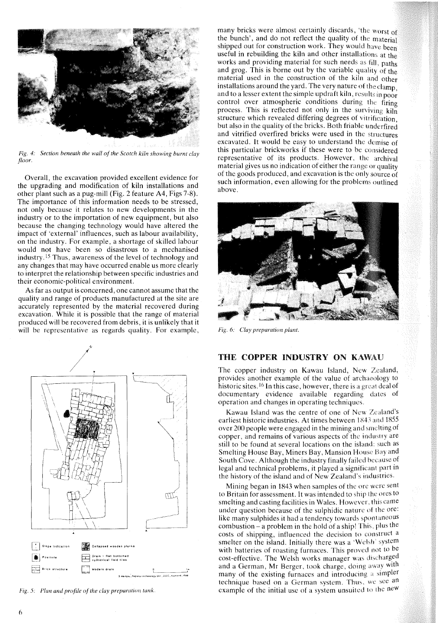

*Fig.* 4: *Section beneath the wall of the Scotch kiln showing burnt clay floor.*

Overall, the excavation provided excellent evidence for the upgrading and modification of kiln installations and other plant such as a pug-mill (Fig. 2 feature A4, Figs 7-8). The importance of this information needs to be stressed, not only because it relates to new developments in the industry or to the importation of new equipment, but also because the changing technology would have altered the impact of 'external' influences, such as labour availability, on the industry. For example, a shortage of skilled labour would not have been so disastrous to a mechanised industry .15 Thus, awareness of the level of technology and any changes that may have occurred enable us more clearly to interpret the relationship between specific industries and their economic-political environment.

As far as output is concerned, one cannot assume that the quality and range of products manufactured at the site are accurately represented by the material recovered during excavation. While it is possible that the range of material produced will be recovered from debris, it is unlikely that it will be representative as regards quality. For example,



*Fig.* 5: *Plan and profile of the clay preparation tank.* 

many bricks were almost certainly discards, 'the worst of the bunch', and do not reflect the quality of the material shipped out for construction work. They would have been useful in rebuilding the kiln and other installations at the works and providing material for such needs as  $f_{\rm il}$ , paths and grog. This is borne out by the variable quality of the material used in the construction of the kiln and other installations around the yard. The very nature of the clamp. and to a lesser extent the simple updraft kiln, results in poo; control over atmospheric conditions during the firing process. This is reflected not only in the surviving kiln structure which revealed differing degrees of vitrification but also in the quality of the bricks. Both friable underfired and vitrified overfired bricks were used in the structures excavated. It would be easy to understand the demise of this particular brickworks if these were to be considered representative of its products. However, the archival material gives us no indication of either the range or quality of the goods produced, and excavation is the only source of such information, even allowing for the problems outlined above.



*Fig.* 6: *Clay preparation plant.*

# THE COPPER INDUSTRY ON KAWAU

The copper industry on Kawau Island, New Zealand, provides another example of the value of archaeology to historic sites. <sup>16</sup> In this case, however, there is a great deal of documentary evidence available regarding dates of operation and changes in operating techniques.

Kawau Island was the centre of one of New Zealand's earliest historic industries. At times between 1843 and 1855 over 200 people were engaged in the mining and smelting of copper, and remains of various aspects of the industry are still to be found at several locations on the island: such as Smelting House Bay, Miners Bay, Mansion House Bay and South Cove. Although the industry finally failed because of legal and technical problems, it played a significant part in the history of the island and of New Zealand's industries.

Mining began in 1843 when samples of the ore were sent to Britain for assessment. It was intended to ship the ores to smelting and casting facilities in Wales. However, this came under question because of the sulphidic nature of the ore: like many sulphides it had a tendency towards spontaneous combustion - a problem in the hold of a ship! This, plus the costs of shipping, influenced the decision to construct a smelter on the island. Initially there was a 'Welsh' system with batteries of roasting furnaces. This proved not to be cost-effective. The Welsh works manager was discharged and a German, Mr Berger, took charge, doing away with many of the existing furnaces and introducing a simpler technique based on a German system. Thus, we see an example of the initial use of a system unsuited to the neW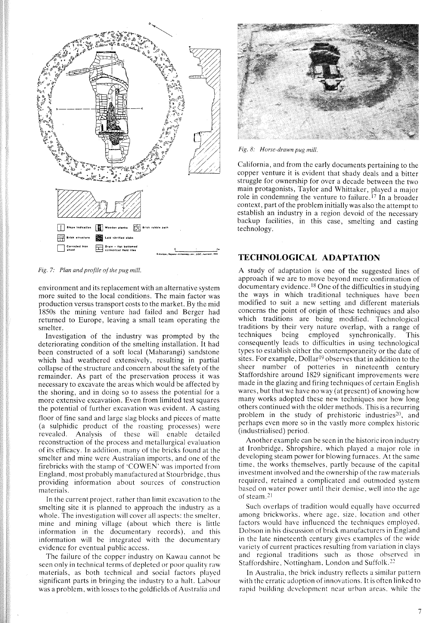

*Fig.* 7: *Plan and profile of the pug mill.* 

environment and its replacement with an alternative system more suited to the local conditions. The main factor was production versus transport costs to the market. By the mid 1850s the mining venture had failed and Berger had returned to Europe, leaving a small team operating the smelter.

Investigation of the industry was prompted by the deteriorating condition of the smelting installation. It had been constructed of a soft local (Maharangi) sandstone which had weathered extensively, resulting in partial collapse of the structure and concern about the safety of the remainder. As part of the preservation process it was necessary to excavate the areas which would be affected by the shoring, and in doing so to assess the potential for a more extensive excavation. Even from limited test squares the potential of further excavation was evident. A casting floor of fine sand and large slag blocks and pieces of matte (a sulphidic product of the roasting processes) were revealed. Analysis of these will enable detailed reconstruction of the process and metallurgical evaluation of its efficacy. **In** addition, many of the bricks found at the smelter and mine were Australian imports, and one of the firebricks with the stamp of 'COWEN' was imported from England, most probably manufactured at Stourbridge, thus providing information about sources of construction materials.

In the current project, rather than limit excavation to the smelting site it is planned to approach the industry as a whole. The investigation will cover all aspects: the smelter, mine and mining village (about which there is little information in the documentary records), and this information will be integrated with the documentary evidence for eventual public access.

The failure of the copper industry on Kawau cannot be seen only in technical terms of depleted or poor quality raw materials, as both technical and social factors played significant parts in bringing the industry to a halt. Labour was a problem, with losses to the goldfields of Australia and



*Fig.* 8: *Horse-drawn pug mill.*

California, and from the early documents pertaining to the copper venture it is evident that shady deals and a bitter struggle for ownership for over a decade between the two main protagonists, Taylor and Whittaker, played a major role in condemning the venture to failure. 1? **In** a broader context, part of the problem initially was also the attempt to establish an industry in a region devoid of the necessary backup facilities, in this case, smelting and casting technology.

# **TECHNOLOGICAL ADAPTATION**

A study of adaptation is one of the suggested lines of approach if we are to move beyond mere confirmation of documentary evidence. <sup>18</sup> One of the difficulties in studying the ways in which traditional techniques have been modified to suit a new setting and different materials concerns the point of origin of these techniques and also which traditions are being modified. Technological traditions by their very nature overlap, with a range of techniques being employed synchronically. This consequently leads to difficulties in using technological types to establish either the contemporaneity or the date of sites. For example, Dollar<sup>19</sup> observes that in addition to the sheer number of potteries in nineteenth century Staffordshire around 1829 significant improvements were made in the glazing and firing techniques of certain English wares, but that we have no way (at present) of knowing how many works adopted these new techniques nor how long others continued with the older methods. This is a recurring problem in the study of prehistoric industries<sup>20</sup>, and perhaps even more so in the vastly more complex historic (industrialised) period.

Another example can be seen in the historic iron industry at Ironbridge, Shropshire, which played a major role in developing steam power for blowing furnaces. At the same time, the works themselves, partly because of the capital investment involved and the ownership of the raw materials required, retained a complicated and outmoded system based on water power until their demise, well into the age of steam <sup>21</sup>

Such overlaps of tradition would equally have occurred among brickworks, where age, size, location and other factors would have influenced the techniques employed. Dobson in his discussion of brick manufacturers in England in the late nineteenth century gives examples of the wide variety of current practices resulting from variation in clays and regional traditions such as those observed in Staffordshire, Nottingham, London and Suffolk.<sup>22</sup>

In Australia, the brick industry reflects a similar pattern with the erratic adoption of innovations. It is often linked to rapid building development ncar urban areas, while the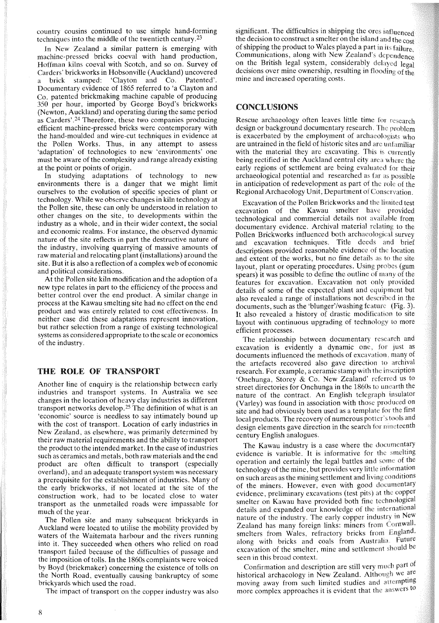country cousins continued to use simple hand-forming techniques into the middle of the twentieth century. 23

**In** New Zealand a similar pattern is emerging with machine-pressed bricks coeval with hand production, Hoffman kilns coeval with Scotch, and so on. Survey of Carders' brickworks in Hobsonville (Auckland) uncovered stamped: 'Clayton and *Co.* Patented'. Documentary evidence of 1865 referred to 'a Clayton and *Co.* patented brickmaking machine capable of producing 350 per hour, imported by George Boyd's brickworks (Newton, Auckland) and operating during the same period as Carders'.<sup>24</sup> Therefore, these two companies producing efficient machine-pressed bricks were contemporary with the hand-moulded and wire-cut techniques in evidence at the Pollen Works. Thus, in any attempt to assess 'adaptation' of technologies to new 'environments' one must be aware of the complexity and range already existing at the point or points of origin.

**In** studying adaptations of technology to new environments there is a danger that we might limit ourselves to the evolution of specific species of plant or technology. While we observe changes in kiln technology at the Pollen site, these can only be understood in relation to other changes on the site, to developments within the industry as a whole, and in their wider context, the social and economic realms. For instance, the observed dynamic nature of the site reflects in part the destructive nature of the industry, involving quarrying of massive amounts of raw material and relocating plant (installations) around the site. But it is also a reflection of a complex web of economic and political considerations.

At the Pollen site kiln modification and the adoption of a new type relates in part to the efficiency of the process and better control over the end product. A similar change in process at the Kawau smelting site had no effect on the end product and was entirely related to cost effectiveness. **In** neither case did these adaptations represent innovation, but rather selection from a range of existing technological systems as considered appropriate to the scale or economics of the industry.

### THE ROLE OF TRANSPORT

Another line of enquiry is the relationship between early industries and transport systems. **In** Australia we see changes in the location of heavy clay industries as different transport networks develop.25 The definition of what is an 'economic' source is needless to say intimately bound up with the cost of transport. Location of early industries in New Zealand, as elsewhere, was primarily determined by their raw material requirements and the ability to transport the product to the intended market. **In** the case of industries such as ceramics and metals, both raw materials and the end product are often difficult to transport (especially overland), and an adequate transport system was necessary a prerequisite for the establishment of industries. Many of the early brickworks, if not located at the site of the construction work, had to be located close to water transport as the unmetalled roads were impassable for much of the year.

The Pollen site and many subsequent brickyards in Auckland were located to utilise the mobility provided by waters of the Waitemata harbour and the rivers running into it. They succeeded when others who relied on road transport failed because of the difficulties of passage and the imposition of tolls. **In** the 1860s complaints were voiced by Boyd (brickmaker) concerning the existence of tolls on the North Road, eventually causing bankruptcy of some brickyards which used the road.

The impact of transport on the copper industry was also

significant. The difficulties in shipping the ores influenced the decision to construct a smelter on the island and the cost of shipping the product to Wales played a part in its failure. Communications, along with New Zealand's dependence on the British legal system, considerably delayed legal decisions over mine ownership, resulting in flooding of the mine and increased operating costs.

### CONCLUSIONS

Rescue archaeology often leaves little time for research design or background documentary research. The problem is exacerbated by the employment of archaeologists who are untrained in the field of historic sites and are unfamiliar with the material they are excavating. This is currently being rectified in the Auckland central city area where the early regions of settlement are being evaluated for their archaeological potential and researched as far as possible in anticipation of redevelopment as part of the role of the Regional Archaeology Unit, Department of Conservation.

Excavation of the Pollen Brickworks and the limited test excavation of the Kawau smelter have provided technological and commercial details not available from documentary evidence. Archival material relating to the Pollen Brickworks influenced both archaeological survey and excavation techniques. Title deeds and brief descriptions provided reasonable evidence of the location and extent of the works, but no fine details as to the site layout, plant or operating procedures. Using probes (gum spears) it was possible to define the outline of many of the features for excavation. Excavation not only provided details of some of the expected plant and equipment but also revealed a range of installations not described in the documents, such as the 'blunger'/washing feature (Fig. 3). It also revealed a history of drastic modification to site layout with continuous upgrading of technology to more efficient processes.

The relationship between documentary research and excavation is evidently a dynamic one, for just as documents influenced the methods of excavation many of the artefacts recovered also gave direction to archival research. For example, a ceramic stamp with the inscription 'Onehunga, Storey & *Co.* New Zealand' referred us to street directories for Onehunga in the 1860s to unearth the nature of the contract. An English telegraph insulator (Varley) was found in association with those produced on site and had obviously been used as a template for the first local products. The recovery of numerous potter's tools and design elements gave direction in the search for nineteenth century English analogues.

The Kawau industry is a case where the documentary evidence is variable. It is informative for the smelting operation and certainly the legal battles and some of the technology of the mine, but provides very little information on such areas as the mining settlement and living conditions of the miners. However, even with good documentary evidence, preliminary excavations (test pits) at the copper smelter on Kawau have provided both fine technological details and expanded our knowledge of the international nature of the industry. The early copper industry in New Zealand has many foreign links: miners from Cornwall, smelters from Wales, refractory bricks from England, along with bricks and coals from Australia Future excavation of the smelter, mine and settlement should be seen in this broad context.

Confirmation and description are still very much part of historical archaeology in New Zealand. Although we are moving away from such limited studies and attempting more complex approaches it is evident that the answers to